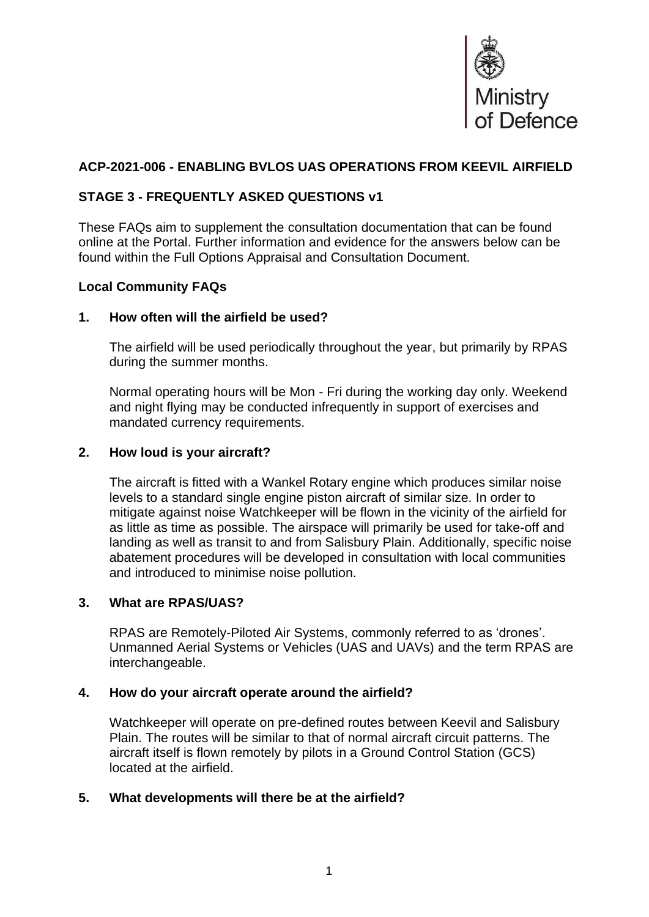

# **ACP-2021-006 - ENABLING BVLOS UAS OPERATIONS FROM KEEVIL AIRFIELD**

# **STAGE 3 - FREQUENTLY ASKED QUESTIONS v1**

These FAQs aim to supplement the consultation documentation that can be found online at the Portal. Further information and evidence for the answers below can be found within the Full Options Appraisal and Consultation Document.

# **Local Community FAQs**

#### **1. How often will the airfield be used?**

The airfield will be used periodically throughout the year, but primarily by RPAS during the summer months.

Normal operating hours will be Mon - Fri during the working day only. Weekend and night flying may be conducted infrequently in support of exercises and mandated currency requirements.

#### **2. How loud is your aircraft?**

The aircraft is fitted with a Wankel Rotary engine which produces similar noise levels to a standard single engine piston aircraft of similar size. In order to mitigate against noise Watchkeeper will be flown in the vicinity of the airfield for as little as time as possible. The airspace will primarily be used for take-off and landing as well as transit to and from Salisbury Plain. Additionally, specific noise abatement procedures will be developed in consultation with local communities and introduced to minimise noise pollution.

# **3. What are RPAS/UAS?**

RPAS are Remotely-Piloted Air Systems, commonly referred to as 'drones'. Unmanned Aerial Systems or Vehicles (UAS and UAVs) and the term RPAS are interchangeable.

#### **4. How do your aircraft operate around the airfield?**

Watchkeeper will operate on pre-defined routes between Keevil and Salisbury Plain. The routes will be similar to that of normal aircraft circuit patterns. The aircraft itself is flown remotely by pilots in a Ground Control Station (GCS) located at the airfield.

#### **5. What developments will there be at the airfield?**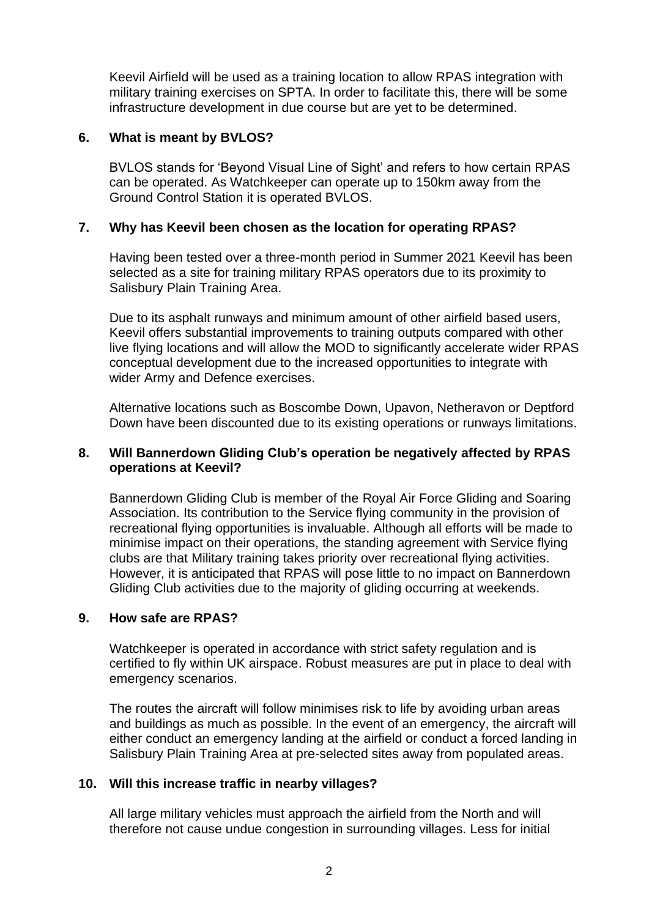Keevil Airfield will be used as a training location to allow RPAS integration with military training exercises on SPTA. In order to facilitate this, there will be some infrastructure development in due course but are yet to be determined.

### **6. What is meant by BVLOS?**

BVLOS stands for 'Beyond Visual Line of Sight' and refers to how certain RPAS can be operated. As Watchkeeper can operate up to 150km away from the Ground Control Station it is operated BVLOS.

### **7. Why has Keevil been chosen as the location for operating RPAS?**

Having been tested over a three-month period in Summer 2021 Keevil has been selected as a site for training military RPAS operators due to its proximity to Salisbury Plain Training Area.

Due to its asphalt runways and minimum amount of other airfield based users, Keevil offers substantial improvements to training outputs compared with other live flying locations and will allow the MOD to significantly accelerate wider RPAS conceptual development due to the increased opportunities to integrate with wider Army and Defence exercises.

Alternative locations such as Boscombe Down, Upavon, Netheravon or Deptford Down have been discounted due to its existing operations or runways limitations.

# **8. Will Bannerdown Gliding Club's operation be negatively affected by RPAS operations at Keevil?**

Bannerdown Gliding Club is member of the Royal Air Force Gliding and Soaring Association. Its contribution to the Service flying community in the provision of recreational flying opportunities is invaluable. Although all efforts will be made to minimise impact on their operations, the standing agreement with Service flying clubs are that Military training takes priority over recreational flying activities. However, it is anticipated that RPAS will pose little to no impact on Bannerdown Gliding Club activities due to the majority of gliding occurring at weekends.

# **9. How safe are RPAS?**

Watchkeeper is operated in accordance with strict safety regulation and is certified to fly within UK airspace. Robust measures are put in place to deal with emergency scenarios.

The routes the aircraft will follow minimises risk to life by avoiding urban areas and buildings as much as possible. In the event of an emergency, the aircraft will either conduct an emergency landing at the airfield or conduct a forced landing in Salisbury Plain Training Area at pre-selected sites away from populated areas.

#### **10. Will this increase traffic in nearby villages?**

All large military vehicles must approach the airfield from the North and will therefore not cause undue congestion in surrounding villages. Less for initial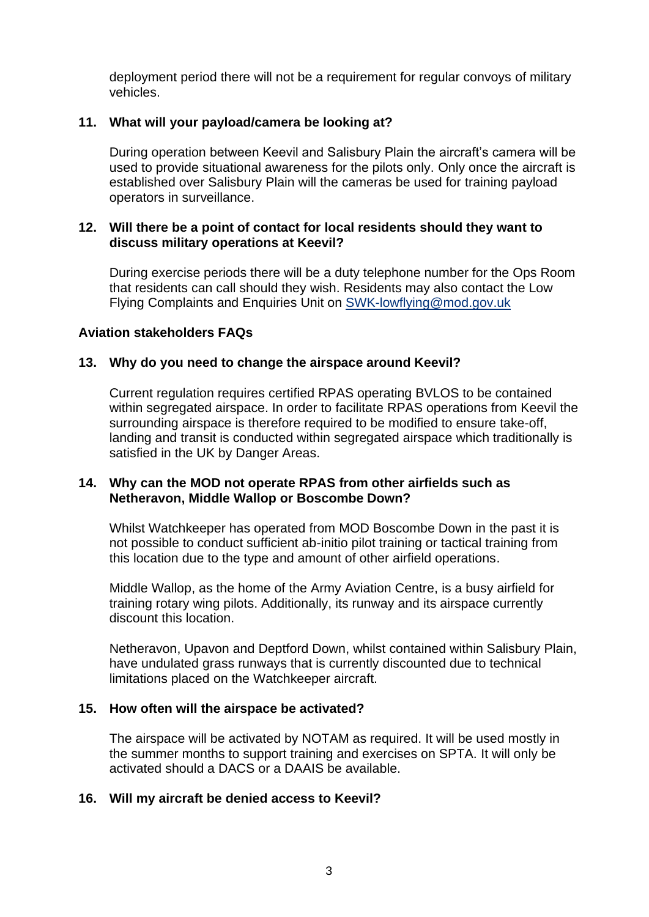deployment period there will not be a requirement for regular convoys of military vehicles.

# **11. What will your payload/camera be looking at?**

During operation between Keevil and Salisbury Plain the aircraft's camera will be used to provide situational awareness for the pilots only. Only once the aircraft is established over Salisbury Plain will the cameras be used for training payload operators in surveillance.

#### **12. Will there be a point of contact for local residents should they want to discuss military operations at Keevil?**

During exercise periods there will be a duty telephone number for the Ops Room that residents can call should they wish. Residents may also contact the Low Flying Complaints and Enquiries Unit on [SWK-lowflying@mod.gov.uk](mailto:SWK-lowflying@mod.gov.uk)

#### **Aviation stakeholders FAQs**

#### **13. Why do you need to change the airspace around Keevil?**

Current regulation requires certified RPAS operating BVLOS to be contained within segregated airspace. In order to facilitate RPAS operations from Keevil the surrounding airspace is therefore required to be modified to ensure take-off, landing and transit is conducted within segregated airspace which traditionally is satisfied in the UK by Danger Areas.

#### **14. Why can the MOD not operate RPAS from other airfields such as Netheravon, Middle Wallop or Boscombe Down?**

Whilst Watchkeeper has operated from MOD Boscombe Down in the past it is not possible to conduct sufficient ab-initio pilot training or tactical training from this location due to the type and amount of other airfield operations.

Middle Wallop, as the home of the Army Aviation Centre, is a busy airfield for training rotary wing pilots. Additionally, its runway and its airspace currently discount this location.

Netheravon, Upavon and Deptford Down, whilst contained within Salisbury Plain, have undulated grass runways that is currently discounted due to technical limitations placed on the Watchkeeper aircraft.

#### **15. How often will the airspace be activated?**

The airspace will be activated by NOTAM as required. It will be used mostly in the summer months to support training and exercises on SPTA. It will only be activated should a DACS or a DAAIS be available.

#### **16. Will my aircraft be denied access to Keevil?**